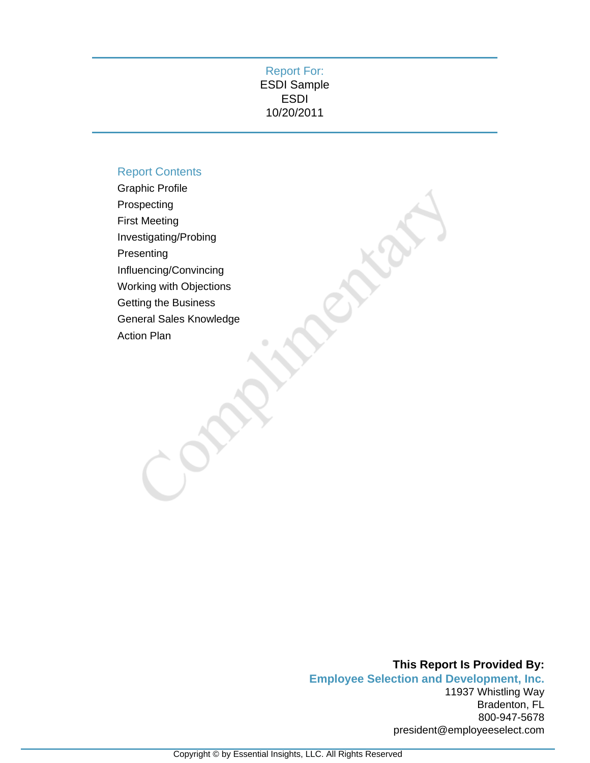## Report For: ESDI Sample ESDI 10/20/2011

## Report Contents

Graphic Profile Prospecting First Meeting Investigating/Probing Presenting Influencing/Convincing Working with Objections Getting the Business General Sales Knowledge Action Plan

> **This Report Is Provided By: Employee Selection and Development, Inc.** 11937 Whistling Way Bradenton, FL 800-947-5678 president@employeeselect.com

Aria.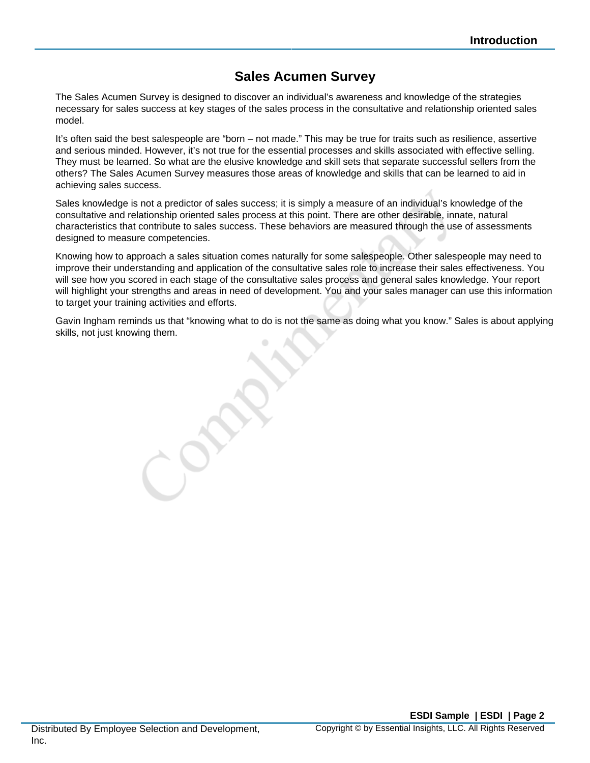# **Sales Acumen Survey**

The Sales Acumen Survey is designed to discover an individual's awareness and knowledge of the strategies necessary for sales success at key stages of the sales process in the consultative and relationship oriented sales model.

It's often said the best salespeople are "born – not made." This may be true for traits such as resilience, assertive and serious minded. However, it's not true for the essential processes and skills associated with effective selling. They must be learned. So what are the elusive knowledge and skill sets that separate successful sellers from the others? The Sales Acumen Survey measures those areas of knowledge and skills that can be learned to aid in achieving sales success.

Sales knowledge is not a predictor of sales success; it is simply a measure of an individual's knowledge of the consultative and relationship oriented sales process at this point. There are other desirable, innate, natural characteristics that contribute to sales success. These behaviors are measured through the use of assessments designed to measure competencies.

Knowing how to approach a sales situation comes naturally for some salespeople. Other salespeople may need to improve their understanding and application of the consultative sales role to increase their sales effectiveness. You will see how you scored in each stage of the consultative sales process and general sales knowledge. Your report will highlight your strengths and areas in need of development. You and your sales manager can use this information to target your training activities and efforts.

Gavin Ingham reminds us that "knowing what to do is not the same as doing what you know." Sales is about applying skills, not just knowing them.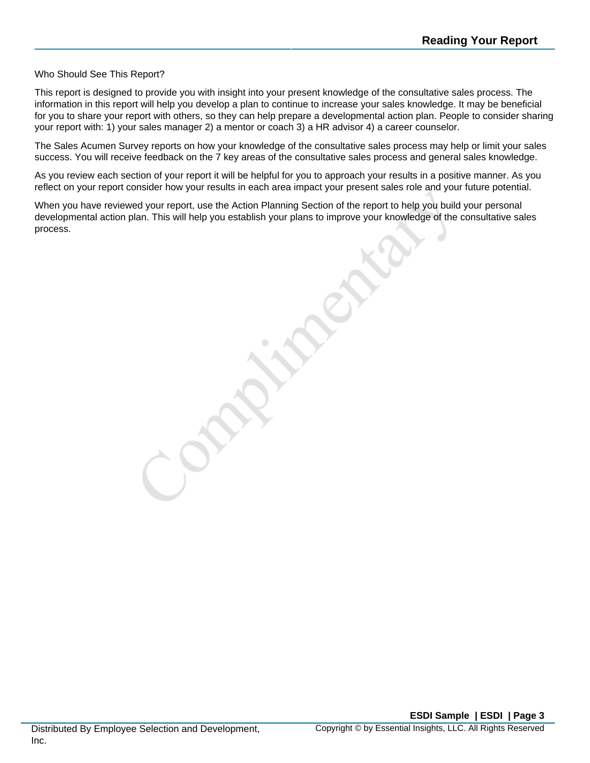#### Who Should See This Report?

This report is designed to provide you with insight into your present knowledge of the consultative sales process. The information in this report will help you develop a plan to continue to increase your sales knowledge. It may be beneficial for you to share your report with others, so they can help prepare a developmental action plan. People to consider sharing your report with: 1) your sales manager 2) a mentor or coach 3) a HR advisor 4) a career counselor.

The Sales Acumen Survey reports on how your knowledge of the consultative sales process may help or limit your sales success. You will receive feedback on the 7 key areas of the consultative sales process and general sales knowledge.

As you review each section of your report it will be helpful for you to approach your results in a positive manner. As you reflect on your report consider how your results in each area impact your present sales role and your future potential.

When you have reviewed your report, use the Action Planning Section of the report to help you build your personal developmental action plan. This will help you establish your plans to improve your knowledge of the consultative sales process.

Distributed By Employee Selection and Development, Inc.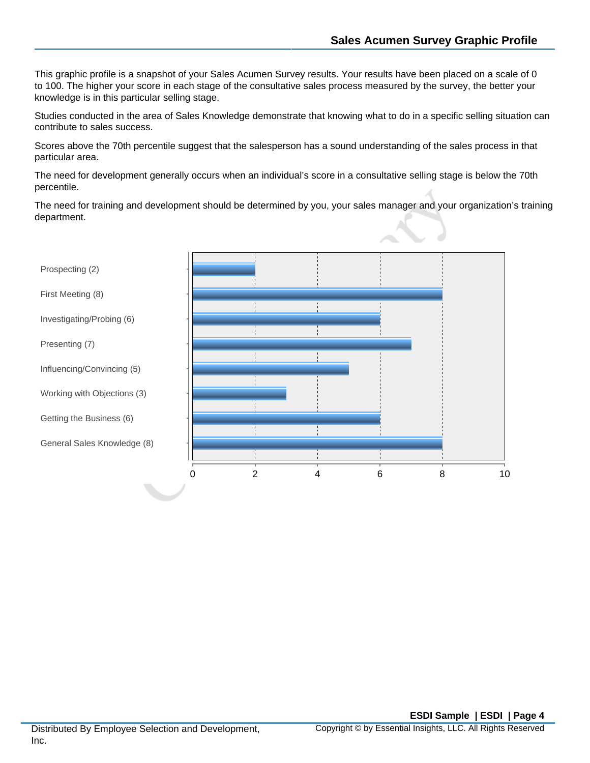This graphic profile is a snapshot of your Sales Acumen Survey results. Your results have been placed on a scale of 0 to 100. The higher your score in each stage of the consultative sales process measured by the survey, the better your knowledge is in this particular selling stage.

Studies conducted in the area of Sales Knowledge demonstrate that knowing what to do in a specific selling situation can contribute to sales success.

Scores above the 70th percentile suggest that the salesperson has a sound understanding of the sales process in that particular area.

The need for development generally occurs when an individual's score in a consultative selling stage is below the 70th percentile.

The need for training and development should be determined by you, your sales manager and your organization's training department.

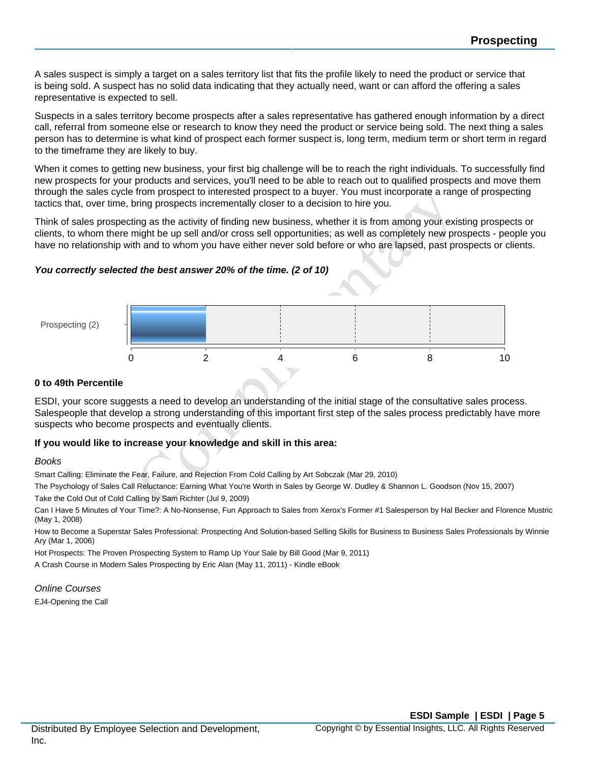A sales suspect is simply a target on a sales territory list that fits the profile likely to need the product or service that is being sold. A suspect has no solid data indicating that they actually need, want or can afford the offering a sales representative is expected to sell.

Suspects in a sales territory become prospects after a sales representative has gathered enough information by a direct call, referral from someone else or research to know they need the product or service being sold. The next thing a sales person has to determine is what kind of prospect each former suspect is, long term, medium term or short term in regard to the timeframe they are likely to buy.

When it comes to getting new business, your first big challenge will be to reach the right individuals. To successfully find new prospects for your products and services, you'll need to be able to reach out to qualified prospects and move them through the sales cycle from prospect to interested prospect to a buyer. You must incorporate a range of prospecting tactics that, over time, bring prospects incrementally closer to a decision to hire you.

Think of sales prospecting as the activity of finding new business, whether it is from among your existing prospects or clients, to whom there might be up sell and/or cross sell opportunities; as well as completely new prospects - people you have no relationship with and to whom you have either never sold before or who are lapsed, past prospects or clients.

#### **You correctly selected the best answer 20% of the time. (2 of 10)**



### **0 to 49th Percentile**

ESDI, your score suggests a need to develop an understanding of the initial stage of the consultative sales process. Salespeople that develop a strong understanding of this important first step of the sales process predictably have more suspects who become prospects and eventually clients.

#### **If you would like to increase your knowledge and skill in this area:**

#### Books

Smart Calling: Eliminate the Fear, Failure, and Rejection From Cold Calling by Art Sobczak (Mar 29, 2010)

The Psychology of Sales Call Reluctance: Earning What You're Worth in Sales by George W. Dudley & Shannon L. Goodson (Nov 15, 2007)

Take the Cold Out of Cold Calling by Sam Richter (Jul 9, 2009)

Can I Have 5 Minutes of Your Time?: A No-Nonsense, Fun Approach to Sales from Xerox's Former #1 Salesperson by Hal Becker and Florence Mustric (May 1, 2008)

How to Become a Superstar Sales Professional: Prospecting And Solution-based Selling Skills for Business to Business Sales Professionals by Winnie Ary (Mar 1, 2006)

Hot Prospects: The Proven Prospecting System to Ramp Up Your Sale by Bill Good (Mar 9, 2011)

A Crash Course in Modern Sales Prospecting by Eric Alan (May 11, 2011) - Kindle eBook

#### Online Courses

EJ4-Opening the Call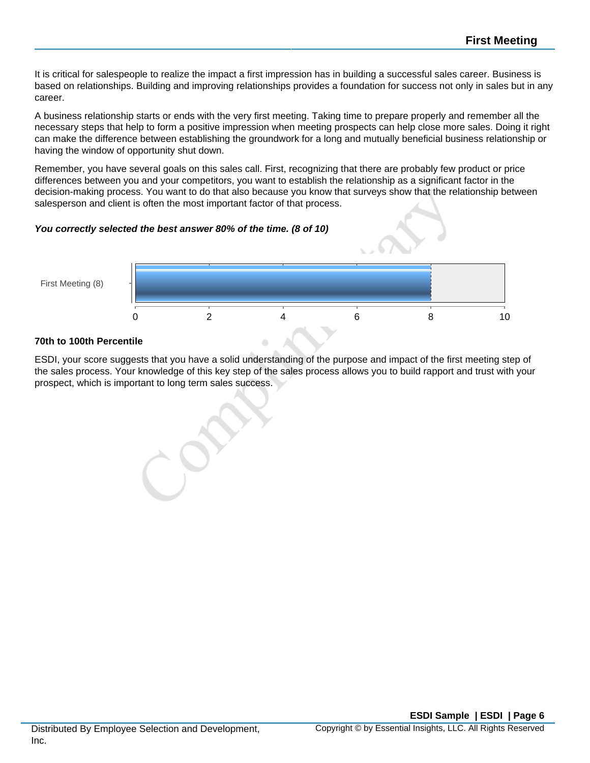It is critical for salespeople to realize the impact a first impression has in building a successful sales career. Business is based on relationships. Building and improving relationships provides a foundation for success not only in sales but in any career.

A business relationship starts or ends with the very first meeting. Taking time to prepare properly and remember all the necessary steps that help to form a positive impression when meeting prospects can help close more sales. Doing it right can make the difference between establishing the groundwork for a long and mutually beneficial business relationship or having the window of opportunity shut down.

Remember, you have several goals on this sales call. First, recognizing that there are probably few product or price differences between you and your competitors, you want to establish the relationship as a significant factor in the decision-making process. You want to do that also because you know that surveys show that the relationship between salesperson and client is often the most important factor of that process.

#### **You correctly selected the best answer 80% of the time. (8 of 10)**



## **70th to 100th Percentile**

ESDI, your score suggests that you have a solid understanding of the purpose and impact of the first meeting step of the sales process. Your knowledge of this key step of the sales process allows you to build rapport and trust with your prospect, which is important to long term sales success.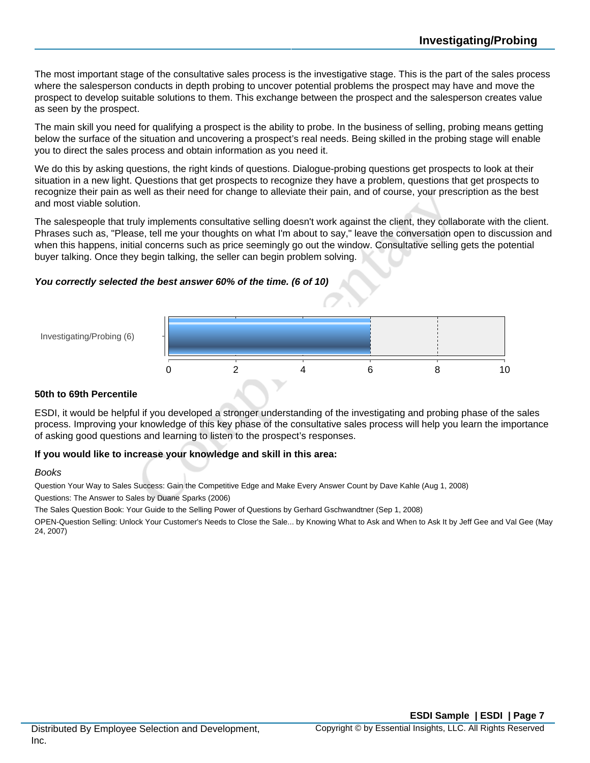The most important stage of the consultative sales process is the investigative stage. This is the part of the sales process where the salesperson conducts in depth probing to uncover potential problems the prospect may have and move the prospect to develop suitable solutions to them. This exchange between the prospect and the salesperson creates value as seen by the prospect.

The main skill you need for qualifying a prospect is the ability to probe. In the business of selling, probing means getting below the surface of the situation and uncovering a prospect's real needs. Being skilled in the probing stage will enable you to direct the sales process and obtain information as you need it.

We do this by asking questions, the right kinds of questions. Dialogue-probing questions get prospects to look at their situation in a new light. Questions that get prospects to recognize they have a problem, questions that get prospects to recognize their pain as well as their need for change to alleviate their pain, and of course, your prescription as the best and most viable solution.

The salespeople that truly implements consultative selling doesn't work against the client, they collaborate with the client. Phrases such as, "Please, tell me your thoughts on what I'm about to say," leave the conversation open to discussion and when this happens, initial concerns such as price seemingly go out the window. Consultative selling gets the potential buyer talking. Once they begin talking, the seller can begin problem solving.

## **You correctly selected the best answer 60% of the time. (6 of 10)**



#### **50th to 69th Percentile**

Investigating/Probing (6)

ESDI, it would be helpful if you developed a stronger understanding of the investigating and probing phase of the sales process. Improving your knowledge of this key phase of the consultative sales process will help you learn the importance of asking good questions and learning to listen to the prospect's responses.

#### **If you would like to increase your knowledge and skill in this area:**

#### Books

Question Your Way to Sales Success: Gain the Competitive Edge and Make Every Answer Count by Dave Kahle (Aug 1, 2008)

Questions: The Answer to Sales by Duane Sparks (2006)

The Sales Question Book: Your Guide to the Selling Power of Questions by Gerhard Gschwandtner (Sep 1, 2008)

OPEN-Question Selling: Unlock Your Customer's Needs to Close the Sale... by Knowing What to Ask and When to Ask It by Jeff Gee and Val Gee (May 24, 2007)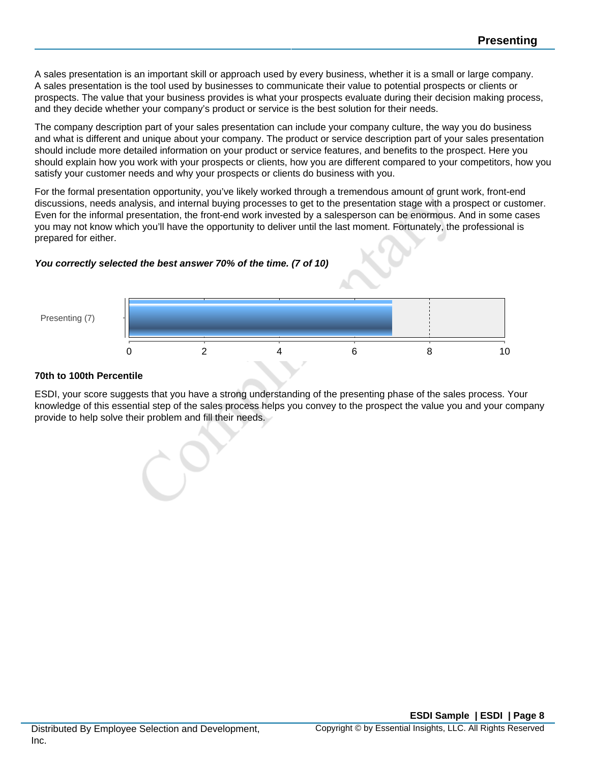A sales presentation is an important skill or approach used by every business, whether it is a small or large company. A sales presentation is the tool used by businesses to communicate their value to potential prospects or clients or prospects. The value that your business provides is what your prospects evaluate during their decision making process, and they decide whether your company's product or service is the best solution for their needs.

The company description part of your sales presentation can include your company culture, the way you do business and what is different and unique about your company. The product or service description part of your sales presentation should include more detailed information on your product or service features, and benefits to the prospect. Here you should explain how you work with your prospects or clients, how you are different compared to your competitors, how you satisfy your customer needs and why your prospects or clients do business with you.

For the formal presentation opportunity, you've likely worked through a tremendous amount of grunt work, front-end discussions, needs analysis, and internal buying processes to get to the presentation stage with a prospect or customer. Even for the informal presentation, the front-end work invested by a salesperson can be enormous. And in some cases you may not know which you'll have the opportunity to deliver until the last moment. Fortunately, the professional is prepared for either.

## **You correctly selected the best answer 70% of the time. (7 of 10)**



#### **70th to 100th Percentile**

ESDI, your score suggests that you have a strong understanding of the presenting phase of the sales process. Your knowledge of this essential step of the sales process helps you convey to the prospect the value you and your company provide to help solve their problem and fill their needs.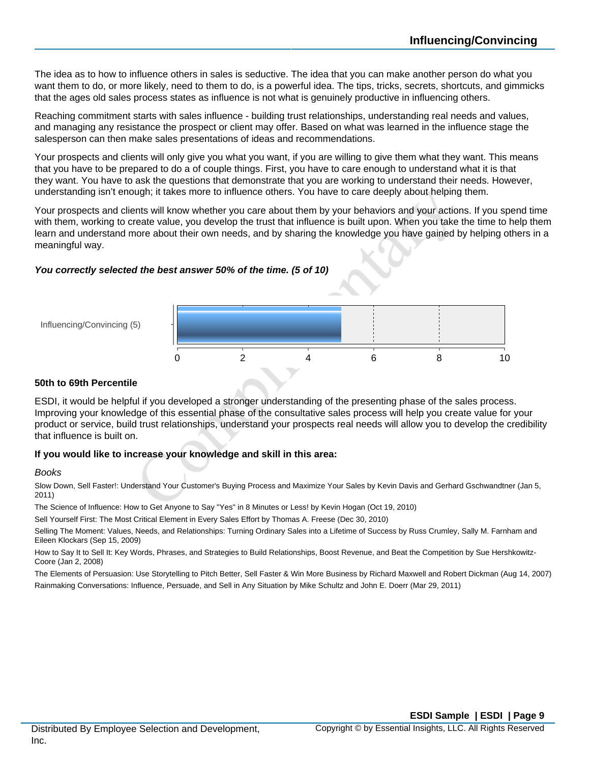The idea as to how to influence others in sales is seductive. The idea that you can make another person do what you want them to do, or more likely, need to them to do, is a powerful idea. The tips, tricks, secrets, shortcuts, and gimmicks that the ages old sales process states as influence is not what is genuinely productive in influencing others.

Reaching commitment starts with sales influence - building trust relationships, understanding real needs and values, and managing any resistance the prospect or client may offer. Based on what was learned in the influence stage the salesperson can then make sales presentations of ideas and recommendations.

Your prospects and clients will only give you what you want, if you are willing to give them what they want. This means that you have to be prepared to do a of couple things. First, you have to care enough to understand what it is that they want. You have to ask the questions that demonstrate that you are working to understand their needs. However, understanding isn't enough; it takes more to influence others. You have to care deeply about helping them.

Your prospects and clients will know whether you care about them by your behaviors and your actions. If you spend time with them, working to create value, you develop the trust that influence is built upon. When you take the time to help them learn and understand more about their own needs, and by sharing the knowledge you have gained by helping others in a meaningful way.

## **You correctly selected the best answer 50% of the time. (5 of 10)**



#### **50th to 69th Percentile**

Influencing/Convincing (5)

ESDI, it would be helpful if you developed a stronger understanding of the presenting phase of the sales process. Improving your knowledge of this essential phase of the consultative sales process will help you create value for your product or service, build trust relationships, understand your prospects real needs will allow you to develop the credibility that influence is built on.

#### **If you would like to increase your knowledge and skill in this area:**

#### Books

Slow Down, Sell Faster!: Understand Your Customer's Buying Process and Maximize Your Sales by Kevin Davis and Gerhard Gschwandtner (Jan 5, 2011)

The Science of Influence: How to Get Anyone to Say "Yes" in 8 Minutes or Less! by Kevin Hogan (Oct 19, 2010)

Sell Yourself First: The Most Critical Element in Every Sales Effort by Thomas A. Freese (Dec 30, 2010)

Selling The Moment: Values, Needs, and Relationships: Turning Ordinary Sales into a Lifetime of Success by Russ Crumley, Sally M. Farnham and Eileen Klockars (Sep 15, 2009)

How to Say It to Sell It: Key Words, Phrases, and Strategies to Build Relationships, Boost Revenue, and Beat the Competition by Sue Hershkowitz-Coore (Jan 2, 2008)

The Elements of Persuasion: Use Storytelling to Pitch Better, Sell Faster & Win More Business by Richard Maxwell and Robert Dickman (Aug 14, 2007) Rainmaking Conversations: Influence, Persuade, and Sell in Any Situation by Mike Schultz and John E. Doerr (Mar 29, 2011)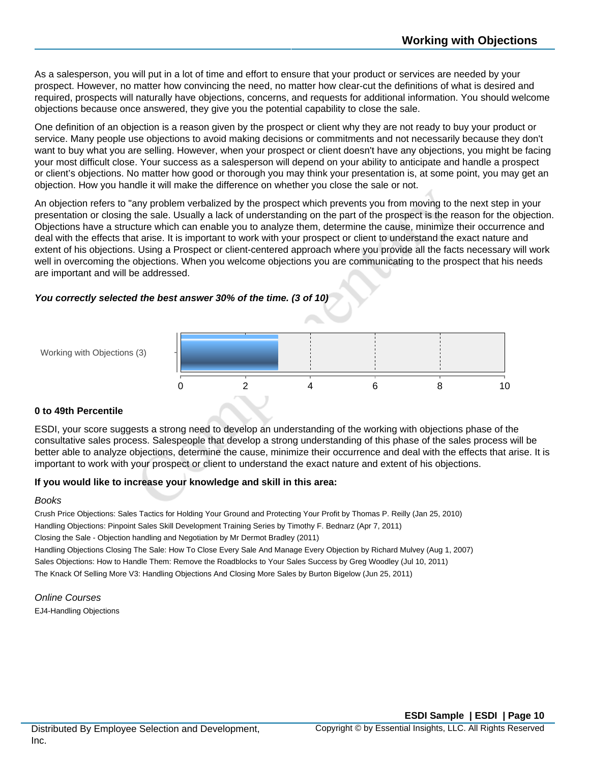As a salesperson, you will put in a lot of time and effort to ensure that your product or services are needed by your prospect. However, no matter how convincing the need, no matter how clear-cut the definitions of what is desired and required, prospects will naturally have objections, concerns, and requests for additional information. You should welcome objections because once answered, they give you the potential capability to close the sale.

One definition of an objection is a reason given by the prospect or client why they are not ready to buy your product or service. Many people use objections to avoid making decisions or commitments and not necessarily because they don't want to buy what you are selling. However, when your prospect or client doesn't have any objections, you might be facing your most difficult close. Your success as a salesperson will depend on your ability to anticipate and handle a prospect or client's objections. No matter how good or thorough you may think your presentation is, at some point, you may get an objection. How you handle it will make the difference on whether you close the sale or not.

An objection refers to "any problem verbalized by the prospect which prevents you from moving to the next step in your presentation or closing the sale. Usually a lack of understanding on the part of the prospect is the reason for the objection. Objections have a structure which can enable you to analyze them, determine the cause, minimize their occurrence and deal with the effects that arise. It is important to work with your prospect or client to understand the exact nature and extent of his objections. Using a Prospect or client-centered approach where you provide all the facts necessary will work well in overcoming the objections. When you welcome objections you are communicating to the prospect that his needs are important and will be addressed.

#### **You correctly selected the best answer 30% of the time. (3 of 10)**



#### **0 to 49th Percentile**

Working with Objections (3)

ESDI, your score suggests a strong need to develop an understanding of the working with objections phase of the consultative sales process. Salespeople that develop a strong understanding of this phase of the sales process will be better able to analyze objections, determine the cause, minimize their occurrence and deal with the effects that arise. It is important to work with your prospect or client to understand the exact nature and extent of his objections.

#### **If you would like to increase your knowledge and skill in this area:**

#### Books

Crush Price Objections: Sales Tactics for Holding Your Ground and Protecting Your Profit by Thomas P. Reilly (Jan 25, 2010) Handling Objections: Pinpoint Sales Skill Development Training Series by Timothy F. Bednarz (Apr 7, 2011) Closing the Sale - Objection handling and Negotiation by Mr Dermot Bradley (2011) Handling Objections Closing The Sale: How To Close Every Sale And Manage Every Objection by Richard Mulvey (Aug 1, 2007) Sales Objections: How to Handle Them: Remove the Roadblocks to Your Sales Success by Greg Woodley (Jul 10, 2011) The Knack Of Selling More V3: Handling Objections And Closing More Sales by Burton Bigelow (Jun 25, 2011)

Online Courses EJ4-Handling Objections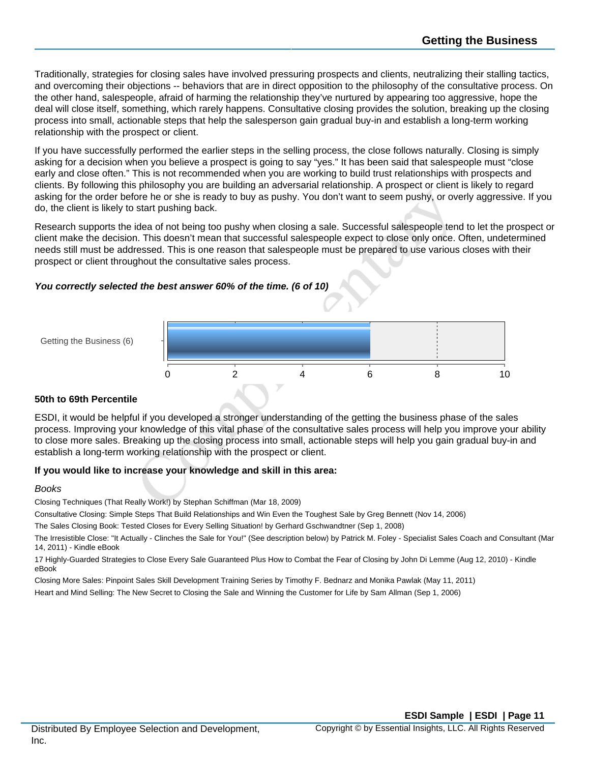Traditionally, strategies for closing sales have involved pressuring prospects and clients, neutralizing their stalling tactics, and overcoming their objections -- behaviors that are in direct opposition to the philosophy of the consultative process. On the other hand, salespeople, afraid of harming the relationship they've nurtured by appearing too aggressive, hope the deal will close itself, something, which rarely happens. Consultative closing provides the solution, breaking up the closing process into small, actionable steps that help the salesperson gain gradual buy-in and establish a long-term working relationship with the prospect or client.

If you have successfully performed the earlier steps in the selling process, the close follows naturally. Closing is simply asking for a decision when you believe a prospect is going to say "yes." It has been said that salespeople must "close early and close often." This is not recommended when you are working to build trust relationships with prospects and clients. By following this philosophy you are building an adversarial relationship. A prospect or client is likely to regard asking for the order before he or she is ready to buy as pushy. You don't want to seem pushy, or overly aggressive. If you do, the client is likely to start pushing back.

Research supports the idea of not being too pushy when closing a sale. Successful salespeople tend to let the prospect or client make the decision. This doesn't mean that successful salespeople expect to close only once. Often, undetermined needs still must be addressed. This is one reason that salespeople must be prepared to use various closes with their prospect or client throughout the consultative sales process.

## **You correctly selected the best answer 60% of the time. (6 of 10)**



#### **50th to 69th Percentile**

Getting the Business (6)

ESDI, it would be helpful if you developed a stronger understanding of the getting the business phase of the sales process. Improving your knowledge of this vital phase of the consultative sales process will help you improve your ability to close more sales. Breaking up the closing process into small, actionable steps will help you gain gradual buy-in and establish a long-term working relationship with the prospect or client.

#### **If you would like to increase your knowledge and skill in this area:**

#### Books

Closing Techniques (That Really Work!) by Stephan Schiffman (Mar 18, 2009)

Consultative Closing: Simple Steps That Build Relationships and Win Even the Toughest Sale by Greg Bennett (Nov 14, 2006)

The Sales Closing Book: Tested Closes for Every Selling Situation! by Gerhard Gschwandtner (Sep 1, 2008)

The Irresistible Close: "It Actually - Clinches the Sale for You!" (See description below) by Patrick M. Foley - Specialist Sales Coach and Consultant (Mar 14, 2011) - Kindle eBook

17 Highly-Guarded Strategies to Close Every Sale Guaranteed Plus How to Combat the Fear of Closing by John Di Lemme (Aug 12, 2010) - Kindle eBook

Closing More Sales: Pinpoint Sales Skill Development Training Series by Timothy F. Bednarz and Monika Pawlak (May 11, 2011)

Heart and Mind Selling: The New Secret to Closing the Sale and Winning the Customer for Life by Sam Allman (Sep 1, 2006)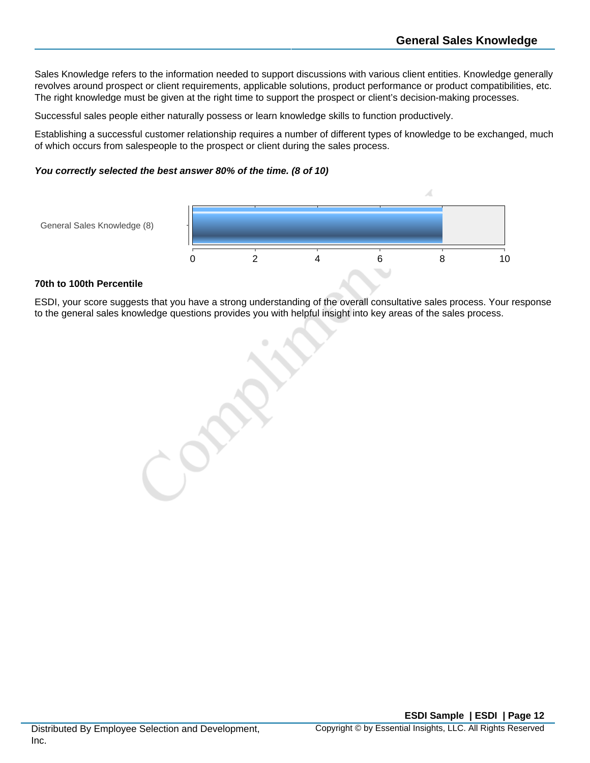Sales Knowledge refers to the information needed to support discussions with various client entities. Knowledge generally revolves around prospect or client requirements, applicable solutions, product performance or product compatibilities, etc. The right knowledge must be given at the right time to support the prospect or client's decision-making processes.

Successful sales people either naturally possess or learn knowledge skills to function productively.

Establishing a successful customer relationship requires a number of different types of knowledge to be exchanged, much of which occurs from salespeople to the prospect or client during the sales process.

#### **You correctly selected the best answer 80% of the time. (8 of 10)**



#### **70th to 100th Percentile**

General Sales Knowledge (8)

ESDI, your score suggests that you have a strong understanding of the overall consultative sales process. Your response to the general sales knowledge questions provides you with helpful insight into key areas of the sales process.